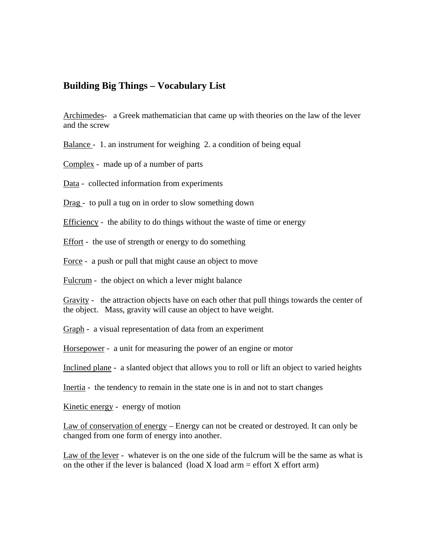## **Building Big Things – Vocabulary List**

Archimedes- a Greek mathematician that came up with theories on the law of the lever and the screw

Balance - 1. an instrument for weighing 2. a condition of being equal

Complex - made up of a number of parts

Data - collected information from experiments

Drag - to pull a tug on in order to slow something down

Efficiency - the ability to do things without the waste of time or energy

Effort - the use of strength or energy to do something

Force - a push or pull that might cause an object to move

Fulcrum - the object on which a lever might balance

Gravity - the attraction objects have on each other that pull things towards the center of the object. Mass, gravity will cause an object to have weight.

Graph - a visual representation of data from an experiment

Horsepower - a unit for measuring the power of an engine or motor

Inclined plane - a slanted object that allows you to roll or lift an object to varied heights

Inertia - the tendency to remain in the state one is in and not to start changes

Kinetic energy - energy of motion

Law of conservation of energy – Energy can not be created or destroyed. It can only be changed from one form of energy into another.

Law of the lever - whatever is on the one side of the fulcrum will be the same as what is on the other if the lever is balanced (load X load arm  $=$  effort X effort arm)